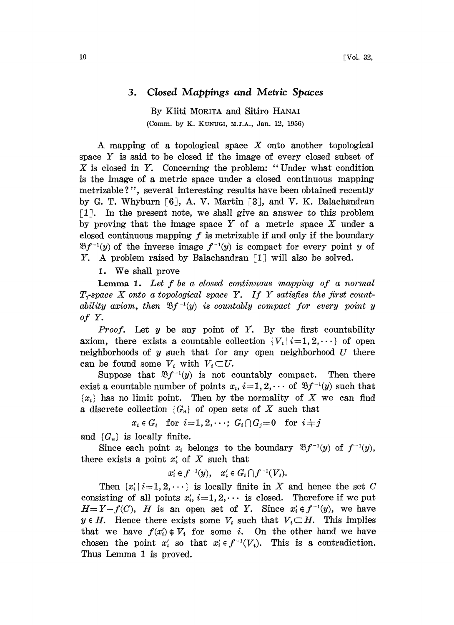## 3. Closed Mappings and Metric Spaces

By Kiiti MORITA and Sitiro HANAI (Comm. by K. KUNUGI, M.J.A., Jan. 12, 1956)

A mapping of a topological space  $X$  onto another topological space Y is said to be closed if the image of every closed subset of X is closed in Y. Concerning the problem: "Under what condition is the image of a metric space under a closed continuous mapping metrizable?", several interesting results have been obtained recently by G. T. Whyburn [6], A. V. Martin [3], and V. K. Balachandran  $\lceil 1 \rceil$ . In the present note, we shall give an answer to this problem by proving that the image space  $Y$  of a metric space  $X$  under a closed continuous mapping  $f$  is metrizable if and only if the boundary  $\mathfrak{B}f^{-1}(y)$  of the inverse image  $f^{-1}(y)$  is compact for every point y of Y. A problem raised by Balachandran [1] will also be solved.

1. We shall prove

**Lemma 1.** Let  $f$  be a closed continuous mapping of a normal  $T_1$ -space X onto a topological space Y. If Y satisfies the first countability axiom, then  $\mathfrak{B}f^{-1}(y)$  is countably compact for every point y of Y.

*Proof.* Let  $y$  be any point of  $Y$ . By the first countability axiom, there exists a countable collection  $\{V_i\}\{i=1, 2, \dots\}$  of open neighborhoods of  $y$  such that for any open neighborhood  $U$  there can be found some  $V_i$  with  $V_i \subset U$ .

Suppose that  $\mathfrak{B}f^{-1}(y)$  is not countably compact. Then there exist a countable number of points  $x_i$ ,  $i=1, 2, \cdots$  of  $\mathcal{B}f^{-1}(y)$  such that  $\{x_i\}$  has no limit point. Then by the normality of X we can find a discrete collection  $\{G_n\}$  of open sets of X such that

 $x_i \in G_i$  for  $i=1,2,\cdots$ ;  $G_i \cap G_j = 0$  for  $i \neq j$ 

and  $\{G_n\}$  is locally finite.

Since each point  $x_i$  belongs to the boundary  $\mathfrak{B}f^{-1}(y)$  of  $f^{-1}(y)$ , there exists a point  $x_i'$  of X such that

$$
x_i' \notin f^{-1}(y), \quad x_i' \in G_i \cap f^{-1}(V_i).
$$

Then  $\{x'_i\mid i=1, 2, \dots\}$  is locally finite in X and hence the set C consisting of all points  $x'_i$ ,  $i=1, 2, \cdots$  is closed. Therefore if we put  $H=Y-f(C)$ , H is an open set of Y. Since  $x'_i \notin f^{-1}(y)$ , we have  $y \in H$ . Hence there exists some  $V_i$  such that  $V_i \subset H$ . This implies that we have  $f(x_i) \notin V_i$  for some i. On the other hand we have chosen the point  $x_i'$  so that  $x_i \in f^{-1}(V_i)$ . This is a contradiction. Thus Lemma <sup>1</sup> is proved.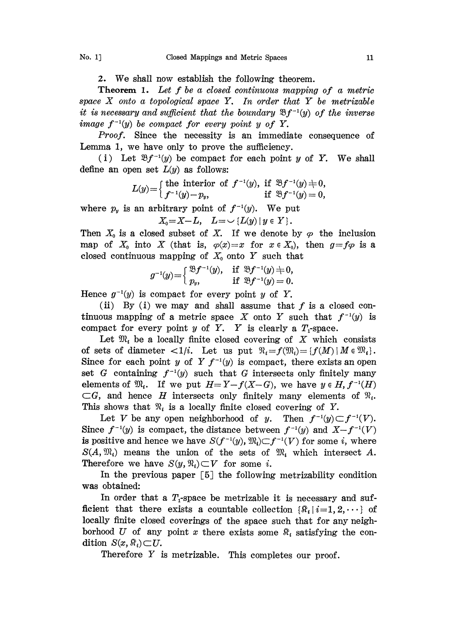2. We shall now establish the following theorem.

Theorem 1. Let f be <sup>a</sup> closed continuous mapping of <sup>a</sup> metric space  $X$  onto a topological space  $Y$ . In order that  $Y$  be metrizable it is necessary and sufficient that the boundary  $\mathfrak{B}f^{-1}(y)$  of the inverse image  $f^{-1}(y)$  be compact for every point y of Y.

Proof. Since the necessity is an immediate consequence of Lemma 1, we have only to prove the sufficiency.

(i) Let  $\mathfrak{B}f^{-1}(y)$  be compact for each point y of Y. We shall define an open set  $L(y)$  as follows:

$$
L(y)=\begin{cases}\text{the interior of } f^{-1}(y), \text{ if } \mathfrak{B}f^{-1}(y)\neq 0,\\ f^{-1}(y)-p_y, \text{ if } \mathfrak{B}f^{-1}(y)=0,\end{cases}
$$

where  $p_y$  is an arbitrary point of  $f^{-1}(y)$ . We put

$$
X_0=X-L, L=\cup \{L(y) \mid y \in Y\}.
$$

Then  $X_0$  is a closed subset of X. If we denote by  $\varphi$  the inclusion map of  $X_0$  into X (that is,  $\varphi(x)=x$  for  $x \in X_0$ ), then  $g=f\varphi$  is a closed continuous mapping of  $X_0$  onto Y such that

$$
g^{-1}(y) = \begin{cases} \mathfrak{B} f^{-1}(y), & \text{if } \mathfrak{B} f^{-1}(y) \neq 0, \\ p_y, & \text{if } \mathfrak{B} f^{-1}(y) = 0. \end{cases}
$$

Hence  $g^{-1}(y)$  is compact for every point y of Y.

(ii) By (i) we may and shall assume that  $f$  is a closed continuous mapping of a metric space X onto Y such that  $f^{-1}(y)$  is compact for every point  $y$  of  $Y$ .  $Y$  is clearly a  $T_1$ -space.

Let  $\mathfrak{M}_i$  be a locally finite closed covering of X which consists of sets of diameter  $\langle 1/i \rangle$ . Let us put  $\mathfrak{N}_i = f(\mathfrak{M}_i) = \{f(M) \mid M \in \mathfrak{M}_i\}.$ Since for each point y of Y  $f^{-1}(y)$  is compact, there exists an open set G containing  $f^{-1}(y)$  such that G intersects only finitely many elements of  $\mathfrak{M}_i$ . If we put  $H=Y-f(X-G)$ , we have  $y \in H$ ,  $f^{-1}(H)$  $\subset G$ , and hence H intersects only finitely many elements of  $\mathcal{R}_{i}$ . This shows that  $\mathfrak{N}_i$  is a locally finite closed covering of Y.

Let V be any open neighborhood of y. Then  $f^{-1}(y) \subset f^{-1}(V)$ . Since  $f^{-1}(y)$  is compact, the distance between  $f^{-1}(y)$  and  $X-f^{-1}(V)$ is positive and hence we have  $S(f^{-1}(y), M_i) \subset f^{-1}(V)$  for some i, where  $S(A, \mathfrak{M}_i)$  means the union of the sets of  $\mathfrak{M}_i$  which intersect A. Therefore we have  $S(y, \mathcal{R}_i) \subset V$  for some i.

In the previous paper  $\lceil 5 \rceil$  the following metrizability condition was obtained:

In order that a  $T_1$ -space be metrizable it is necessary and sufficient that there exists a countable collection  $\{\Re_i\,|\,i=1, 2, \cdots\}$  of locally finite closed coverings of the space such that for any neighborhood U of any point x there exists some  $\mathbb{R}_i$  satisfying the condition  $S(x, \mathbb{R}) \subset U$ .

Therefore  $Y$  is metrizable. This completes our proof.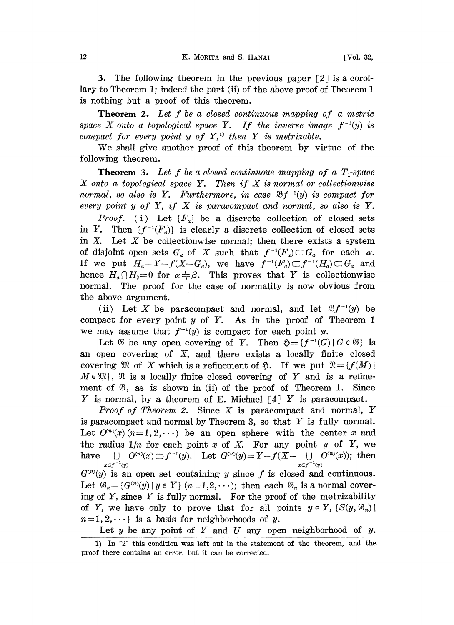3. The following theorem in the previous paper  $\lceil 2 \rceil$  is a corollary to Theorem 1; indeed the part (ii) of the above proof of Theorem 1 is nothing but a proof of this theorem.

**Theorem 2.** Let  $f$  be a closed continuous mapping of a metric space X onto a topological space Y. If the inverse image  $f^{-1}(y)$  is compact for every point y of  $Y$ ,<sup>1)</sup> then Y is metrizable.

We shall give another proof of this theorem by virtue of the following theorem.

**Theorem 3.** Let f be a closed continuous mapping of a  $T$ -space  $X$  onto a topological space  $Y$ . Then if  $X$  is normal or collectionwise normal, so also is Y. Furthermore, in case  $\mathfrak{B}f^{-1}(y)$  is compact for every point  $y$  of  $Y$ , if  $X$  is paracompact and normal, so also is  $Y$ .

*Proof.* (i) Let  ${F_a}$  be a discrete collection of closed sets in Y. Then  $\{f^{-1}(F_a)\}\$ is clearly a discrete collection of closed sets in  $X$ . Let  $X$  be collectionwise normal; then there exists a system of disjoint open sets  $G_a$  of X such that  $f^{-1}(F_a) \subset G_a$  for each  $\alpha$ . If we put  $H_a = Y - f(X - G_a)$ , we have  $f^{-1}(F_a) \subset f^{-1}(H_a) \subset G_a$  and hence  $H_{\alpha} \cap H_{\beta}=0$  for  $\alpha \neq \beta$ . This proves that Y is collectionwise normal. The proof for the case of normality is now obvious from he above argument.

(ii) Let X be paracompact and normal, and let  $\mathfrak{B}f^{-1}(y)$  be compact for every point  $y$  of  $Y$ . As in the proof of Theorem 1 we may assume that  $f^{-1}(y)$  is compact for each point y.

Let  $\mathfrak G$  be any open covering of Y. Then  $\mathfrak H=\{f^{-1}(G)\,|\,G\in\mathfrak G\}$  is an open covering of  $X$ , and there exists a locally finite closed covering  $\mathfrak{M}$  of X which is a refinement of  $\mathfrak{H}$ . If we put  $\mathfrak{N} = \{f(M) \mid$  $M \in \mathfrak{M}$ ,  $\mathfrak{N}$  is a locally finite closed covering of Y and is a refinement of  $\mathfrak{G}$ , as is shown in (ii) of the proof of Theorem 1. Since Y is normal, by a theorem of E. Michael  $\lceil 4 \rceil$  Y is paracompact.

*Proof of Theorem 2.* Since  $X$  is paracompact and normal,  $Y$ is paracompact and normal by Theorem 3, so that  $Y$  is fully normal. Let  $O^{(n)}(x)$  ( $n=1, 2, \dots$ ) be an open sphere with the center x and the radius  $1/n$  for each point x of X. For any point y of Y, we have  $\bigcup_{x \in f^{-1}(y)} O^{(n)}(x) \supset f^{-1}(y)$ . Let  $G^{(n)}(y) = Y - f(X - \bigcup_{x \in f^{-1}(y)} O^{(n)}(x))$ ; then  $G^{(n)}(y)$  is an open set containing y since f is closed and continuous. Let  $\mathfrak{G}_n = \{G^{(n)}(y) \mid y \in Y \}$   $(n=1,2,\cdots)$ ; then each  $\mathfrak{G}_n$  is a normal covering of  $Y$ , since  $Y$  is fully normal. For the proof of the metrizability of Y, we have only to prove that for all points  $y \in Y$ ,  $\{S(y, \mathbb{G}_n) \mid$  $n=1, 2, \dots$  is a basis for neighborhoods of y.

Let  $y$  be any point of  $Y$  and  $U$  any open neighborhood of  $y$ .

<sup>1)</sup> In [2] this condition was left out in the statement of the theorem, and the proof there contains an error, but it can be corrected.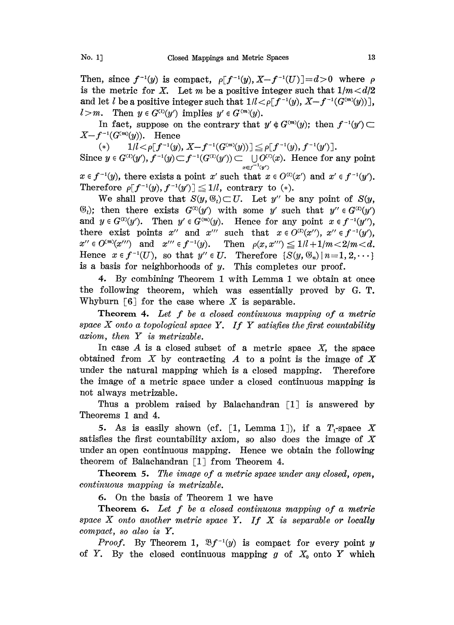Then, since  $f^{-1}(y)$  is compact,  $\rho[f^{-1}(y), X-f^{-1}(U)]=d>0$  where  $\rho$ is the metric for X. Let m be a positive integer such that  $1/m < d/2$ and let l be a positive integer such that  $1/l < \rho[f^{-1}(y), X-f^{-1}(G^{(m)}(y))]$ ,  $l > m$ . Then  $y \in G^{(l)}(y')$  implies  $y' \in G^{(m)}(y)$ .

In fact, suppose on the contrary that  $y' \notin G^{(m)}(y)$ ; then  $f^{-1}(y') \subset$  $X-f^{-1}(G^{(m)}(y)).$  Hence

(\*)  $1/l < \rho[f^{-1}(y), X-f^{-1}(G^{(m)}(y))] \leq \rho[f^{-1}(y), f^{-1}(y')]$ . Since  $y \in G^{(i)}(y')$ ,  $f^{-1}(y) \subset f^{-1}(G^{(i)}(y')) \subset \bigcup_{x \in f^{-1}(y')} O^{(i)}(x)$ . Hence for any point  $x \in f^{-1}(y)$ , there exists a point x' such that  $x \in O^{(0)}(x')$  and  $x' \in f^{-1}(y')$ .

 $x \in f^{-1}(y)$ , there exists a point  $x'$  such that  $x \in O^{(0)}(x)$ .<br>Therefore  $\rho[f^{-1}(y), f^{-1}(y')] \leq 1/l$ , contrary to (\*).

We shall prove that  $S(y, \mathcal{B}_i) \subset U$ . Let y'' be any point of  $S(y, \mathcal{B}_i)$  $(\mathcal{G}_i)$ ; then there exists  $G^{(i)}(y')$  with some y' such that  $y'' \in G^{(i)}(y')$ and  $y \in G^{(x)}(y')$ . Then  $y' \in G^{(m)}(y)$ . Hence for any point  $x \in f^{-1}(y'')$ , there exist points x'' and x''' such that  $x \in O^{(i)}(x'')$ ,  $x'' \in f^{-1}(y')$ ,  $x'' \in O^{(m)}(x''')$  and  $x''' \in f^{-1}(y)$ . Then  $\rho(x, x''') \leq 1/l + 1/m < 2/m < d$ . Hence  $x \in f^{-1}(U)$ , so that  $y'' \in U$ . Therefore  $\{S(y, \mathcal{G}_n) | n=1, 2, \cdots\}$ is a basis for neighborhoods of y. This completes our proof.

4. By combining Theorem <sup>1</sup> with Lemma <sup>1</sup> we obtain at once the following theorem, which was essentially proved by G. T. Whyburn  $\lceil 6 \rceil$  for the case where X is separable.

Theorem 4. Let  $f$  be a closed continuous mapping of a metric space  $X$  onto a topological space  $Y$ . If  $Y$  satisfies the first countability axiom, then Y is metrizable.

In case  $A$  is a closed subset of a metric space  $X$ , the space obtained from X by contracting A to a point is the image of X under the natural mapping which is a closed mapping. Therefore the image of a metric space under a closed continuous mapping is not always metrizable.

Thus a problem raised by Balachandran  $\lceil 1 \rceil$  is answered by Theorems 1 and 4.

5. As is easily shown (cf. [1, Lemma 1]), if a  $T_1$ -space X satisfies the first countability axiom, so also does the image of  $X$ under an open continuous mapping. Hence we obtain the following theorem of Balachandran [1] from Theorem 4.

Theorem 5. The image of a metric space under any closed, open, continuous mapping is metrizable.

6. On the basis of Theorem 1 we have

Theorem 6. Let f be <sup>a</sup> closed continuous mapping of <sup>a</sup> metric space  $X$  onto another metric space  $Y$ . If  $X$  is separable or locally compact, so also is Y.

*Proof.* By Theorem 1,  $\mathfrak{B}f^{-1}(y)$  is compact for every point y of Y. By the closed continuous mapping g of  $X_0$  onto Y which